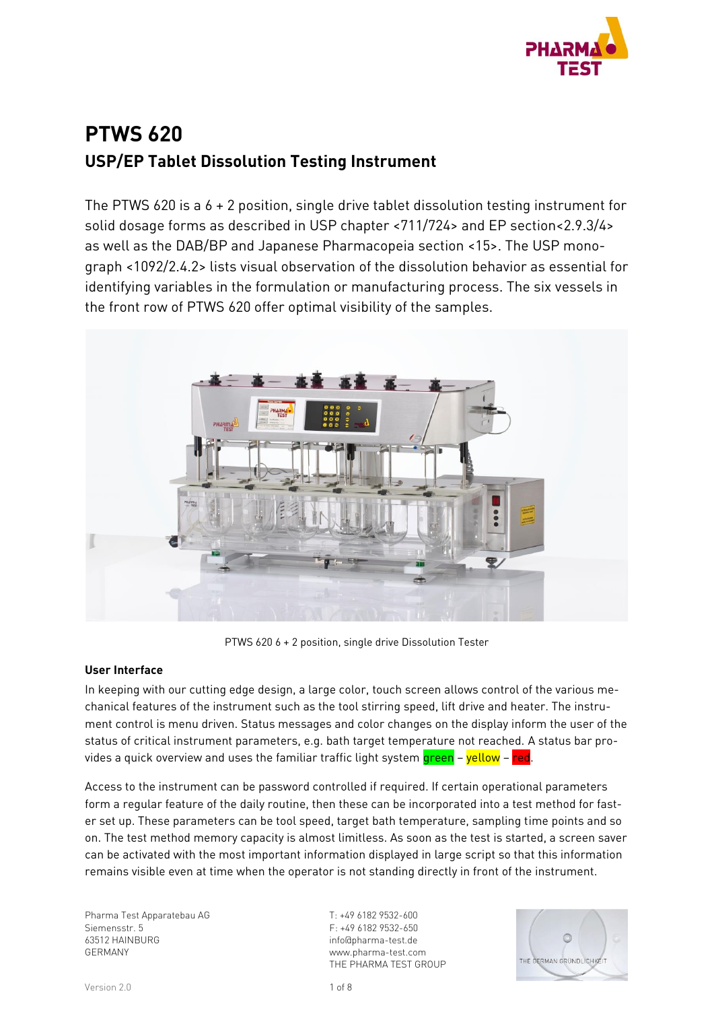

# **PTWS 620 USP/EP Tablet Dissolution Testing Instrument**

The PTWS 620 is a 6 + 2 position, single drive tablet dissolution testing instrument for solid dosage forms as described in USP chapter <711/724> and EP section<2.9.3/4> as well as the DAB/BP and Japanese Pharmacopeia section <15>. The USP monograph <1092/2.4.2> lists visual observation of the dissolution behavior as essential for identifying variables in the formulation or manufacturing process. The six vessels in the front row of PTWS 620 offer optimal visibility of the samples.



PTWS 620 6 + 2 position, single drive Dissolution Tester

## **User Interface**

In keeping with our cutting edge design, a large color, touch screen allows control of the various mechanical features of the instrument such as the tool stirring speed, lift drive and heater. The instrument control is menu driven. Status messages and color changes on the display inform the user of the status of critical instrument parameters, e.g. bath target temperature not reached. A status bar provides a quick overview and uses the familiar traffic light system green - yellow - red.

Access to the instrument can be password controlled if required. If certain operational parameters form a regular feature of the daily routine, then these can be incorporated into a test method for faster set up. These parameters can be tool speed, target bath temperature, sampling time points and so on. The test method memory capacity is almost limitless. As soon as the test is started, a screen saver can be activated with the most important information displayed in large script so that this information remains visible even at time when the operator is not standing directly in front of the instrument.

Pharma Test Apparatebau AG Siemensstr. 5 63512 HAINBURG GERMANY

T: +49 6182 9532-600 F: +49 6182 9532-650 info@pharma-test.de www.pharma-test.com THE PHARMA TEST GROUP

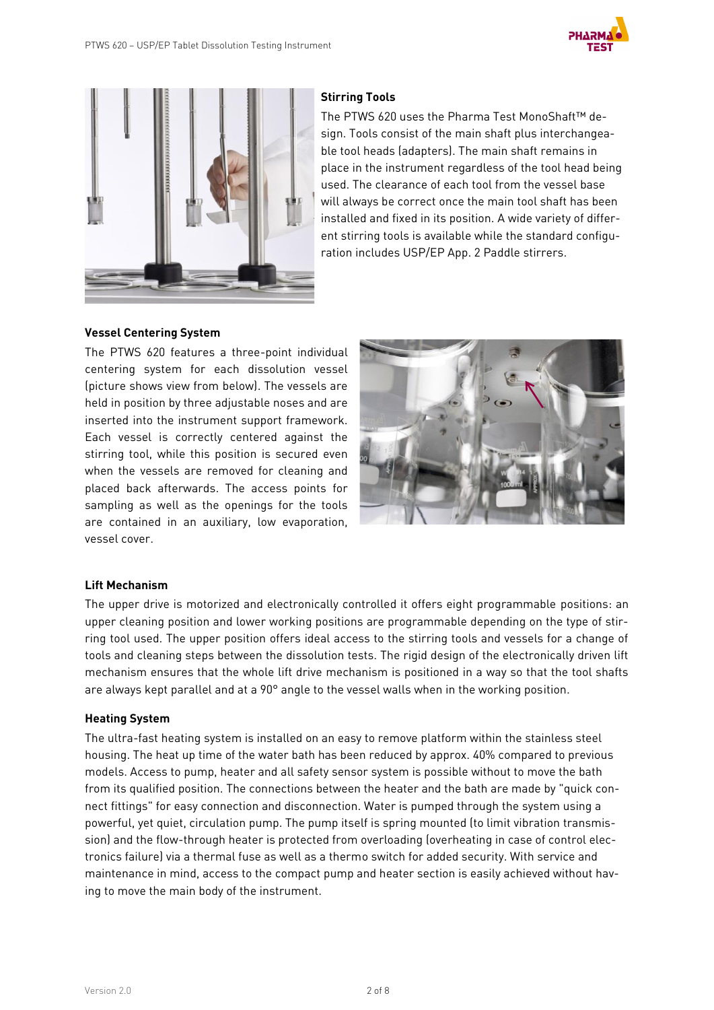



## **Stirring Tools**

The PTWS 620 uses the Pharma Test MonoShaft™ design. Tools consist of the main shaft plus interchangeable tool heads (adapters). The main shaft remains in place in the instrument regardless of the tool head being used. The clearance of each tool from the vessel base will always be correct once the main tool shaft has been installed and fixed in its position. A wide variety of different stirring tools is available while the standard configuration includes USP/EP App. 2 Paddle stirrers.

## **Vessel Centering System**

The PTWS 620 features a three-point individual centering system for each dissolution vessel (picture shows view from below). The vessels are held in position by three adjustable noses and are inserted into the instrument support framework. Each vessel is correctly centered against the stirring tool, while this position is secured even when the vessels are removed for cleaning and placed back afterwards. The access points for sampling as well as the openings for the tools are contained in an auxiliary, low evaporation, vessel cover.



#### **Lift Mechanism**

The upper drive is motorized and electronically controlled it offers eight programmable positions: an upper cleaning position and lower working positions are programmable depending on the type of stirring tool used. The upper position offers ideal access to the stirring tools and vessels for a change of tools and cleaning steps between the dissolution tests. The rigid design of the electronically driven lift mechanism ensures that the whole lift drive mechanism is positioned in a way so that the tool shafts are always kept parallel and at a 90° angle to the vessel walls when in the working position.

#### **Heating System**

The ultra-fast heating system is installed on an easy to remove platform within the stainless steel housing. The heat up time of the water bath has been reduced by approx. 40% compared to previous models. Access to pump, heater and all safety sensor system is possible without to move the bath from its qualified position. The connections between the heater and the bath are made by "quick connect fittings" for easy connection and disconnection. Water is pumped through the system using a powerful, yet quiet, circulation pump. The pump itself is spring mounted (to limit vibration transmission) and the flow-through heater is protected from overloading (overheating in case of control electronics failure) via a thermal fuse as well as a thermo switch for added security. With service and maintenance in mind, access to the compact pump and heater section is easily achieved without having to move the main body of the instrument.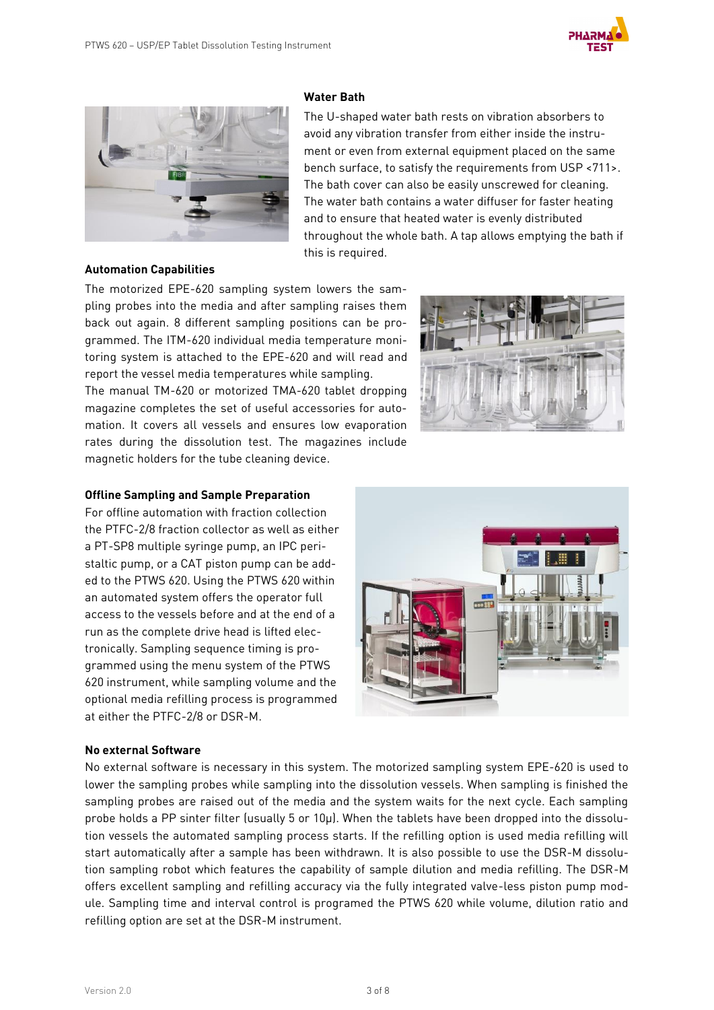



## **Water Bath**

The U-shaped water bath rests on vibration absorbers to avoid any vibration transfer from either inside the instrument or even from external equipment placed on the same bench surface, to satisfy the requirements from USP <711>. The bath cover can also be easily unscrewed for cleaning. The water bath contains a water diffuser for faster heating and to ensure that heated water is evenly distributed throughout the whole bath. A tap allows emptying the bath if this is required.

#### **Automation Capabilities**

The motorized EPE-620 sampling system lowers the sampling probes into the media and after sampling raises them back out again. 8 different sampling positions can be programmed. The ITM-620 individual media temperature monitoring system is attached to the EPE-620 and will read and report the vessel media temperatures while sampling.

The manual TM-620 or motorized TMA-620 tablet dropping magazine completes the set of useful accessories for automation. It covers all vessels and ensures low evaporation rates during the dissolution test. The magazines include magnetic holders for the tube cleaning device.



#### **Offline Sampling and Sample Preparation**

For offline automation with fraction collection the PTFC-2/8 fraction collector as well as either a PT-SP8 multiple syringe pump, an IPC peristaltic pump, or a CAT piston pump can be added to the PTWS 620. Using the PTWS 620 within an automated system offers the operator full access to the vessels before and at the end of a run as the complete drive head is lifted electronically. Sampling sequence timing is programmed using the menu system of the PTWS 620 instrument, while sampling volume and the optional media refilling process is programmed at either the PTFC-2/8 or DSR-M.



#### **No external Software**

No external software is necessary in this system. The motorized sampling system EPE-620 is used to lower the sampling probes while sampling into the dissolution vessels. When sampling is finished the sampling probes are raised out of the media and the system waits for the next cycle. Each sampling probe holds a PP sinter filter (usually 5 or 10µ). When the tablets have been dropped into the dissolution vessels the automated sampling process starts. If the refilling option is used media refilling will start automatically after a sample has been withdrawn. It is also possible to use the DSR-M dissolution sampling robot which features the capability of sample dilution and media refilling. The DSR-M offers excellent sampling and refilling accuracy via the fully integrated valve-less piston pump module. Sampling time and interval control is programed the PTWS 620 while volume, dilution ratio and refilling option are set at the DSR-M instrument.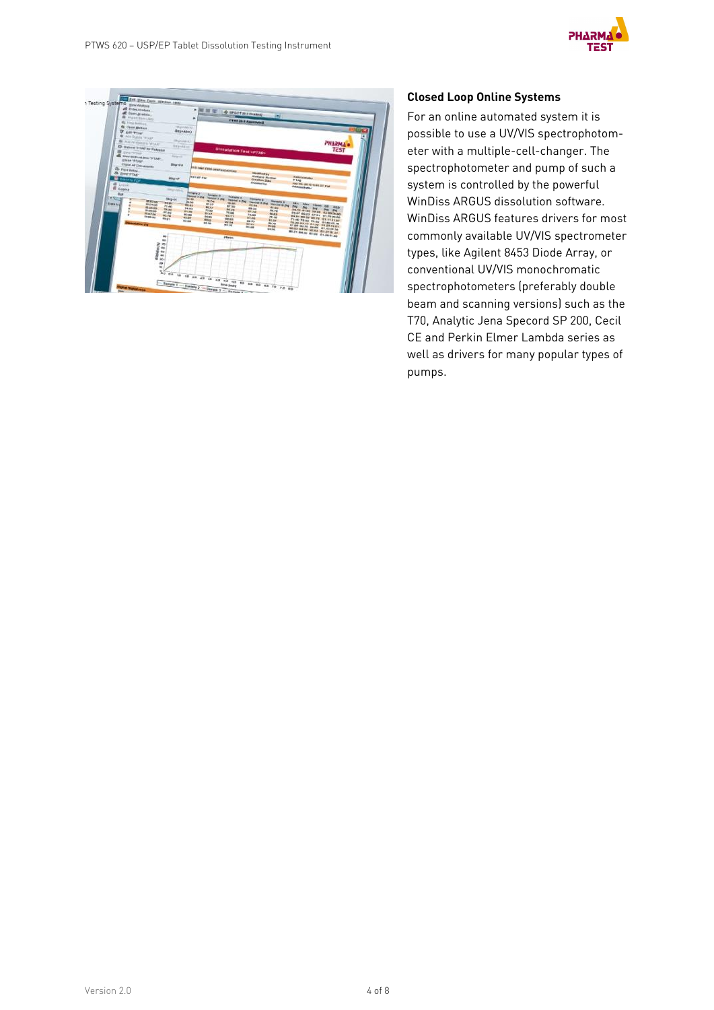



## **Closed Loop Online Systems**

For an online automated system it is possible to use a UV/VIS spectrophotometer with a multiple-cell-changer. The spectrophotometer and pump of such a system is controlled by the powerful WinDiss ARGUS dissolution software. WinDiss ARGUS features drivers for most commonly available UV/VIS spectrometer types, like Agilent 8453 Diode Array, or conventional UV/VIS monochromatic spectrophotometers (preferably double beam and scanning versions) such as the T70, Analytic Jena Specord SP 200, Cecil CE and Perkin Elmer Lambda series as well as drivers for many popular types of pumps.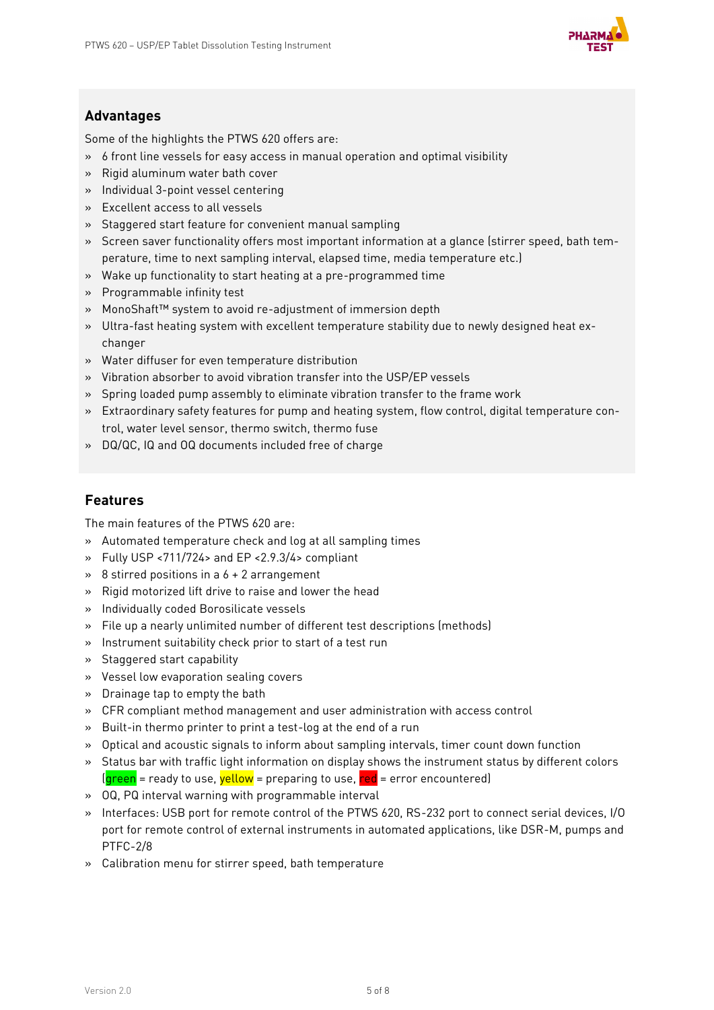

# **Advantages**

Some of the highlights the PTWS 620 offers are:

- » 6 front line vessels for easy access in manual operation and optimal visibility
- » Rigid aluminum water bath cover
- » Individual 3-point vessel centering
- » Excellent access to all vessels
- » Staggered start feature for convenient manual sampling
- » Screen saver functionality offers most important information at a glance (stirrer speed, bath temperature, time to next sampling interval, elapsed time, media temperature etc.)
- » Wake up functionality to start heating at a pre-programmed time
- » Programmable infinity test
- » MonoShaft™ system to avoid re-adjustment of immersion depth
- » Ultra-fast heating system with excellent temperature stability due to newly designed heat exchanger
- » Water diffuser for even temperature distribution
- » Vibration absorber to avoid vibration transfer into the USP/EP vessels
- » Spring loaded pump assembly to eliminate vibration transfer to the frame work
- » Extraordinary safety features for pump and heating system, flow control, digital temperature control, water level sensor, thermo switch, thermo fuse
- » DQ/QC, IQ and OQ documents included free of charge

## **Features**

The main features of the PTWS 620 are:

- » Automated temperature check and log at all sampling times
- » Fully USP <711/724> and EP <2.9.3/4> compliant
- $\rightarrow$  8 stirred positions in a 6 + 2 arrangement
- » Rigid motorized lift drive to raise and lower the head
- » Individually coded Borosilicate vessels
- » File up a nearly unlimited number of different test descriptions (methods)
- » Instrument suitability check prior to start of a test run
- » Staggered start capability
- » Vessel low evaporation sealing covers
- » Drainage tap to empty the bath
- » CFR compliant method management and user administration with access control
- » Built-in thermo printer to print a test-log at the end of a run
- » Optical and acoustic signals to inform about sampling intervals, timer count down function
- » Status bar with traffic light information on display shows the instrument status by different colors  $(q$ reen = ready to use, yellow = preparing to use,  $red$  = error encountered)
- » OQ, PQ interval warning with programmable interval
- » Interfaces: USB port for remote control of the PTWS 620, RS-232 port to connect serial devices, I/O port for remote control of external instruments in automated applications, like DSR-M, pumps and PTFC-2/8
- » Calibration menu for stirrer speed, bath temperature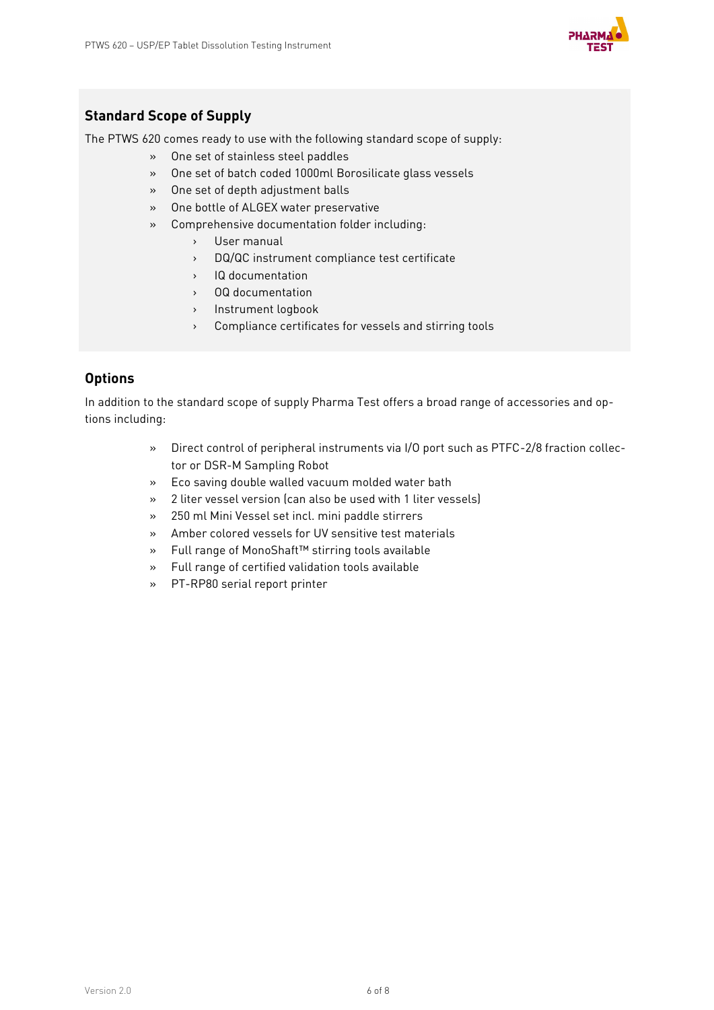

# **Standard Scope of Supply**

The PTWS 620 comes ready to use with the following standard scope of supply:

- » One set of stainless steel paddles
- » One set of batch coded 1000ml Borosilicate glass vessels
- » One set of depth adjustment balls
- » One bottle of ALGEX water preservative
- » Comprehensive documentation folder including:
	- › User manual
	- › DQ/QC instrument compliance test certificate
	- › IQ documentation
	- › OQ documentation
	- › Instrument logbook
	- › Compliance certificates for vessels and stirring tools

## **Options**

In addition to the standard scope of supply Pharma Test offers a broad range of accessories and options including:

- » Direct control of peripheral instruments via I/O port such as PTFC-2/8 fraction collector or DSR-M Sampling Robot
- » Eco saving double walled vacuum molded water bath
- » 2 liter vessel version (can also be used with 1 liter vessels)
- » 250 ml Mini Vessel set incl. mini paddle stirrers
- » Amber colored vessels for UV sensitive test materials
- » Full range of MonoShaft™ stirring tools available
- » Full range of certified validation tools available
- » PT-RP80 serial report printer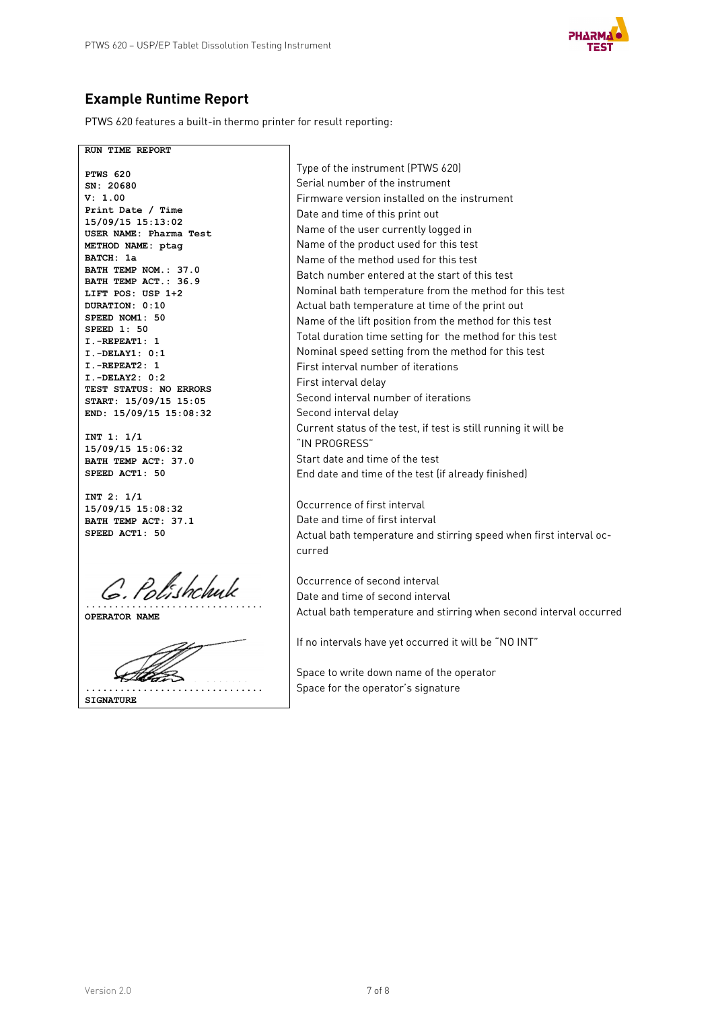

# **Example Runtime Report**

PTWS 620 features a built-in thermo printer for result reporting:

**RUN TIME REPORT PTWS 620 SN: 20680 V: 1.00 Print Date / Time 15/09/15 15:13:02 USER NAME: Pharma Test METHOD NAME: ptag BATCH: 1a BATH TEMP NOM.: 37.0 BATH TEMP ACT.: 36.9 LIFT POS: USP 1+2 DURATION: 0:10 SPEED NOM1: 50 SPEED 1: 50 I.-REPEAT1: 1 I.-DELAY1: 0:1 I.-REPEAT2: 1 I.-DELAY2: 0:2 TEST STATUS: NO ERRORS START: 15/09/15 15:05 END: 15/09/15 15:08:32**

**INT 1: 1/1 15/09/15 15:06:32 BATH TEMP ACT: 37.0 SPEED ACT1: 50**

**INT 2: 1/1 15/09/15 15:08:32 BATH TEMP ACT: 37.1 SPEED ACT1: 50**

**...............................**

**OPERATOR NAME**



Type of the instrument (PTWS 620) Serial number of the instrument Firmware version installed on the instrument Date and time of this print out Name of the user currently logged in Name of the product used for this test Name of the method used for this test Batch number entered at the start of this test Nominal bath temperature from the method for this test Actual bath temperature at time of the print out Name of the lift position from the method for this test Total duration time setting for the method for this test Nominal speed setting from the method for this test First interval number of iterations First interval delay Second interval number of iterations Second interval delay Current status of the test, if test is still running it will be "IN PROGRESS" Start date and time of the test End date and time of the test (if already finished)

Occurrence of first interval Date and time of first interval Actual bath temperature and stirring speed when first interval occurred

Occurrence of second interval Date and time of second interval Actual bath temperature and stirring when second interval occurred

If no intervals have yet occurred it will be "NO INT"

Space to write down name of the operator Space for the operator's signature